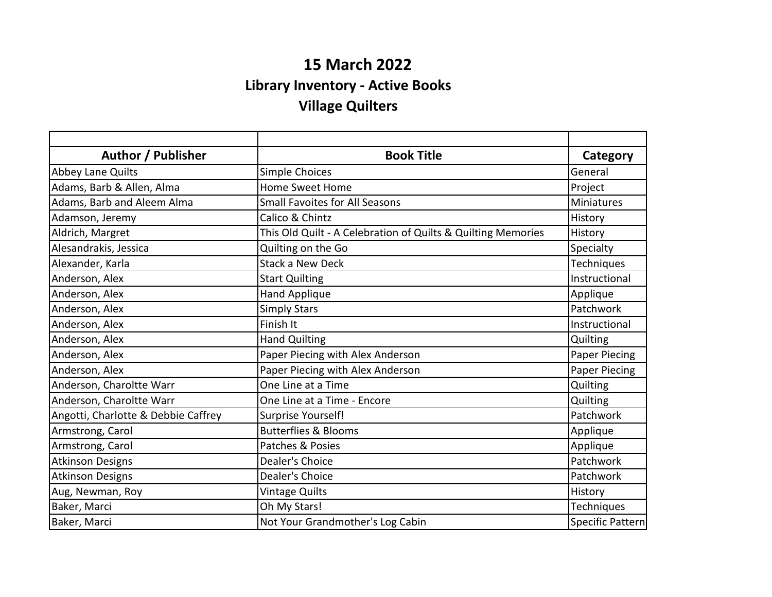## **15 March 2022 Library Inventory - Active Books Village Quilters**

| Author / Publisher                  | <b>Book Title</b>                                            | Category         |
|-------------------------------------|--------------------------------------------------------------|------------------|
| <b>Abbey Lane Quilts</b>            | Simple Choices                                               | General          |
| Adams, Barb & Allen, Alma           | <b>Home Sweet Home</b>                                       | Project          |
| Adams, Barb and Aleem Alma          | <b>Small Favoites for All Seasons</b>                        | Miniatures       |
| Adamson, Jeremy                     | Calico & Chintz                                              | History          |
| Aldrich, Margret                    | This Old Quilt - A Celebration of Quilts & Quilting Memories | History          |
| Alesandrakis, Jessica               | Quilting on the Go                                           | Specialty        |
| Alexander, Karla                    | <b>Stack a New Deck</b>                                      | Techniques       |
| Anderson, Alex                      | <b>Start Quilting</b>                                        | Instructional    |
| Anderson, Alex                      | Hand Applique                                                | Applique         |
| Anderson, Alex                      | <b>Simply Stars</b>                                          | Patchwork        |
| Anderson, Alex                      | Finish It                                                    | Instructional    |
| Anderson, Alex                      | <b>Hand Quilting</b>                                         | Quilting         |
| Anderson, Alex                      | Paper Piecing with Alex Anderson                             | Paper Piecing    |
| Anderson, Alex                      | Paper Piecing with Alex Anderson                             | Paper Piecing    |
| Anderson, Charoltte Warr            | One Line at a Time                                           | Quilting         |
| Anderson, Charoltte Warr            | One Line at a Time - Encore                                  | Quilting         |
| Angotti, Charlotte & Debbie Caffrey | Surprise Yourself!                                           | Patchwork        |
| Armstrong, Carol                    | <b>Butterflies &amp; Blooms</b>                              | Applique         |
| Armstrong, Carol                    | Patches & Posies                                             | Applique         |
| <b>Atkinson Designs</b>             | Dealer's Choice                                              | Patchwork        |
| <b>Atkinson Designs</b>             | Dealer's Choice                                              | Patchwork        |
| Aug, Newman, Roy                    | <b>Vintage Quilts</b>                                        | History          |
| Baker, Marci                        | Oh My Stars!                                                 | Techniques       |
| Baker, Marci                        | Not Your Grandmother's Log Cabin                             | Specific Pattern |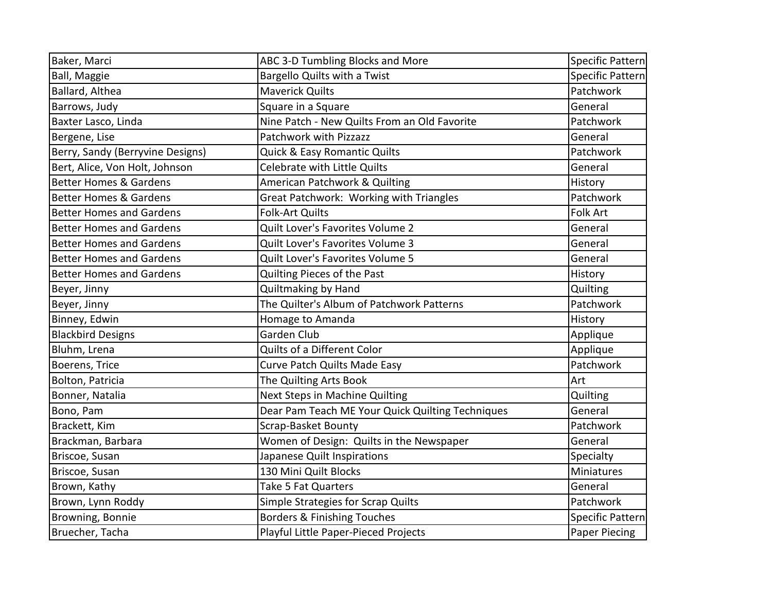| Baker, Marci                      | ABC 3-D Tumbling Blocks and More                 | Specific Pattern     |
|-----------------------------------|--------------------------------------------------|----------------------|
| Ball, Maggie                      | Bargello Quilts with a Twist                     | Specific Pattern     |
| Ballard, Althea                   | <b>Maverick Quilts</b>                           | Patchwork            |
| Barrows, Judy                     | Square in a Square                               | General              |
| Baxter Lasco, Linda               | Nine Patch - New Quilts From an Old Favorite     | Patchwork            |
| Bergene, Lise                     | Patchwork with Pizzazz                           | General              |
| Berry, Sandy (Berryvine Designs)  | Quick & Easy Romantic Quilts                     | Patchwork            |
| Bert, Alice, Von Holt, Johnson    | Celebrate with Little Quilts                     | General              |
| <b>Better Homes &amp; Gardens</b> | American Patchwork & Quilting                    | History              |
| <b>Better Homes &amp; Gardens</b> | Great Patchwork: Working with Triangles          | Patchwork            |
| <b>Better Homes and Gardens</b>   | <b>Folk-Art Quilts</b>                           | <b>Folk Art</b>      |
| <b>Better Homes and Gardens</b>   | Quilt Lover's Favorites Volume 2                 | General              |
| <b>Better Homes and Gardens</b>   | Quilt Lover's Favorites Volume 3                 | General              |
| <b>Better Homes and Gardens</b>   | Quilt Lover's Favorites Volume 5                 | General              |
| <b>Better Homes and Gardens</b>   | Quilting Pieces of the Past                      | History              |
| Beyer, Jinny                      | Quiltmaking by Hand                              | Quilting             |
| Beyer, Jinny                      | The Quilter's Album of Patchwork Patterns        | Patchwork            |
| Binney, Edwin                     | Homage to Amanda                                 | History              |
| <b>Blackbird Designs</b>          | <b>Garden Club</b>                               | Applique             |
| Bluhm, Lrena                      | Quilts of a Different Color                      | Applique             |
| Boerens, Trice                    | Curve Patch Quilts Made Easy                     | Patchwork            |
| Bolton, Patricia                  | The Quilting Arts Book                           | Art                  |
| Bonner, Natalia                   | Next Steps in Machine Quilting                   | Quilting             |
| Bono, Pam                         | Dear Pam Teach ME Your Quick Quilting Techniques | General              |
| Brackett, Kim                     | Scrap-Basket Bounty                              | Patchwork            |
| Brackman, Barbara                 | Women of Design: Quilts in the Newspaper         | General              |
| Briscoe, Susan                    | Japanese Quilt Inspirations                      | Specialty            |
| Briscoe, Susan                    | 130 Mini Quilt Blocks                            | Miniatures           |
| Brown, Kathy                      | Take 5 Fat Quarters                              | General              |
| Brown, Lynn Roddy                 | Simple Strategies for Scrap Quilts               | Patchwork            |
| Browning, Bonnie                  | <b>Borders &amp; Finishing Touches</b>           | Specific Pattern     |
| Bruecher, Tacha                   | Playful Little Paper-Pieced Projects             | <b>Paper Piecing</b> |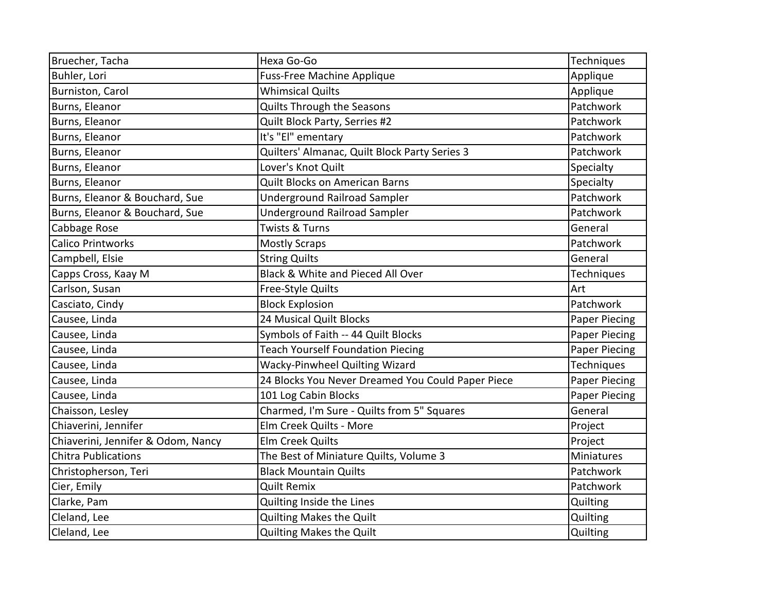| Bruecher, Tacha                    | Hexa Go-Go                                        | Techniques           |
|------------------------------------|---------------------------------------------------|----------------------|
| Buhler, Lori                       | <b>Fuss-Free Machine Applique</b>                 | Applique             |
| Burniston, Carol                   | <b>Whimsical Quilts</b>                           | Applique             |
| Burns, Eleanor                     | Quilts Through the Seasons                        | Patchwork            |
| Burns, Eleanor                     | Quilt Block Party, Serries #2                     | Patchwork            |
| Burns, Eleanor                     | It's "El" ementary                                | Patchwork            |
| Burns, Eleanor                     | Quilters' Almanac, Quilt Block Party Series 3     | Patchwork            |
| Burns, Eleanor                     | Lover's Knot Quilt                                | Specialty            |
| Burns, Eleanor                     | Quilt Blocks on American Barns                    | Specialty            |
| Burns, Eleanor & Bouchard, Sue     | <b>Underground Railroad Sampler</b>               | Patchwork            |
| Burns, Eleanor & Bouchard, Sue     | <b>Underground Railroad Sampler</b>               | Patchwork            |
| Cabbage Rose                       | <b>Twists &amp; Turns</b>                         | General              |
| <b>Calico Printworks</b>           | <b>Mostly Scraps</b>                              | Patchwork            |
| Campbell, Elsie                    | <b>String Quilts</b>                              | General              |
| Capps Cross, Kaay M                | Black & White and Pieced All Over                 | Techniques           |
| Carlson, Susan                     | Free-Style Quilts                                 | Art                  |
| Casciato, Cindy                    | <b>Block Explosion</b>                            | Patchwork            |
| Causee, Linda                      | 24 Musical Quilt Blocks                           | <b>Paper Piecing</b> |
| Causee, Linda                      | Symbols of Faith -- 44 Quilt Blocks               | <b>Paper Piecing</b> |
| Causee, Linda                      | <b>Teach Yourself Foundation Piecing</b>          | Paper Piecing        |
| Causee, Linda                      | Wacky-Pinwheel Quilting Wizard                    | Techniques           |
| Causee, Linda                      | 24 Blocks You Never Dreamed You Could Paper Piece | Paper Piecing        |
| Causee, Linda                      | 101 Log Cabin Blocks                              | <b>Paper Piecing</b> |
| Chaisson, Lesley                   | Charmed, I'm Sure - Quilts from 5" Squares        | General              |
| Chiaverini, Jennifer               | Elm Creek Quilts - More                           | Project              |
| Chiaverini, Jennifer & Odom, Nancy | Elm Creek Quilts                                  | Project              |
| <b>Chitra Publications</b>         | The Best of Miniature Quilts, Volume 3            | Miniatures           |
| Christopherson, Teri               | <b>Black Mountain Quilts</b>                      | Patchwork            |
| Cier, Emily                        | <b>Quilt Remix</b>                                | Patchwork            |
| Clarke, Pam                        | Quilting Inside the Lines                         | Quilting             |
| Cleland, Lee                       | Quilting Makes the Quilt                          | Quilting             |
| Cleland, Lee                       | Quilting Makes the Quilt                          | Quilting             |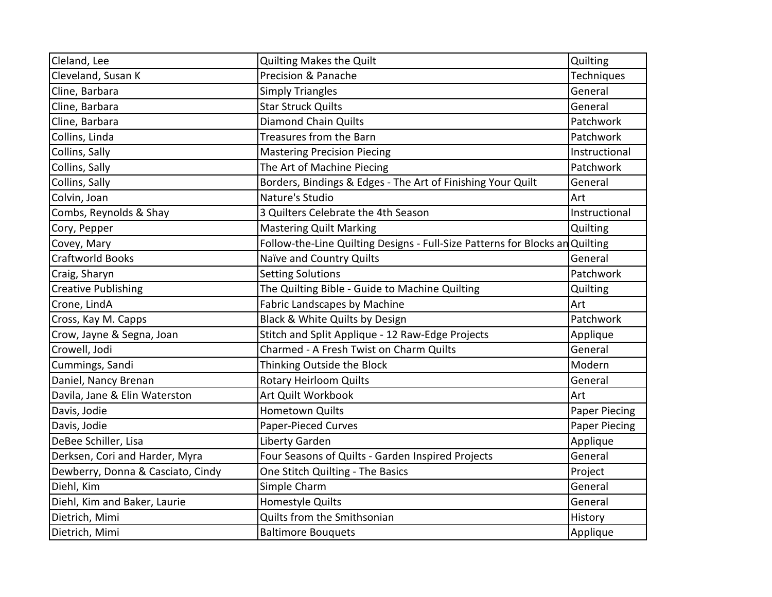| Cleland, Lee                      | Quilting Makes the Quilt                                                     | Quilting             |
|-----------------------------------|------------------------------------------------------------------------------|----------------------|
| Cleveland, Susan K                | Precision & Panache                                                          | Techniques           |
| Cline, Barbara                    | <b>Simply Triangles</b>                                                      | General              |
| Cline, Barbara                    | <b>Star Struck Quilts</b>                                                    | General              |
| Cline, Barbara                    | <b>Diamond Chain Quilts</b>                                                  | Patchwork            |
| Collins, Linda                    | Treasures from the Barn                                                      | Patchwork            |
| Collins, Sally                    | <b>Mastering Precision Piecing</b>                                           | Instructional        |
| Collins, Sally                    | The Art of Machine Piecing                                                   | Patchwork            |
| Collins, Sally                    | Borders, Bindings & Edges - The Art of Finishing Your Quilt                  | General              |
| Colvin, Joan                      | Nature's Studio                                                              | Art                  |
| Combs, Reynolds & Shay            | 3 Quilters Celebrate the 4th Season                                          | Instructional        |
| Cory, Pepper                      | <b>Mastering Quilt Marking</b>                                               | Quilting             |
| Covey, Mary                       | Follow-the-Line Quilting Designs - Full-Size Patterns for Blocks an Quilting |                      |
| <b>Craftworld Books</b>           | Naïve and Country Quilts                                                     | General              |
| Craig, Sharyn                     | <b>Setting Solutions</b>                                                     | Patchwork            |
| <b>Creative Publishing</b>        | The Quilting Bible - Guide to Machine Quilting                               | Quilting             |
| Crone, LindA                      | Fabric Landscapes by Machine                                                 | Art                  |
| Cross, Kay M. Capps               | Black & White Quilts by Design                                               | Patchwork            |
| Crow, Jayne & Segna, Joan         | Stitch and Split Applique - 12 Raw-Edge Projects                             | Applique             |
| Crowell, Jodi                     | Charmed - A Fresh Twist on Charm Quilts                                      | General              |
| Cummings, Sandi                   | Thinking Outside the Block                                                   | Modern               |
| Daniel, Nancy Brenan              | <b>Rotary Heirloom Quilts</b>                                                | General              |
| Davila, Jane & Elin Waterston     | Art Quilt Workbook                                                           | Art                  |
| Davis, Jodie                      | <b>Hometown Quilts</b>                                                       | <b>Paper Piecing</b> |
| Davis, Jodie                      | <b>Paper-Pieced Curves</b>                                                   | <b>Paper Piecing</b> |
| DeBee Schiller, Lisa              | Liberty Garden                                                               | Applique             |
| Derksen, Cori and Harder, Myra    | Four Seasons of Quilts - Garden Inspired Projects                            | General              |
| Dewberry, Donna & Casciato, Cindy | One Stitch Quilting - The Basics                                             | Project              |
| Diehl, Kim                        | Simple Charm                                                                 | General              |
| Diehl, Kim and Baker, Laurie      | Homestyle Quilts                                                             | General              |
| Dietrich, Mimi                    | Quilts from the Smithsonian                                                  | History              |
| Dietrich, Mimi                    | <b>Baltimore Bouquets</b>                                                    | Applique             |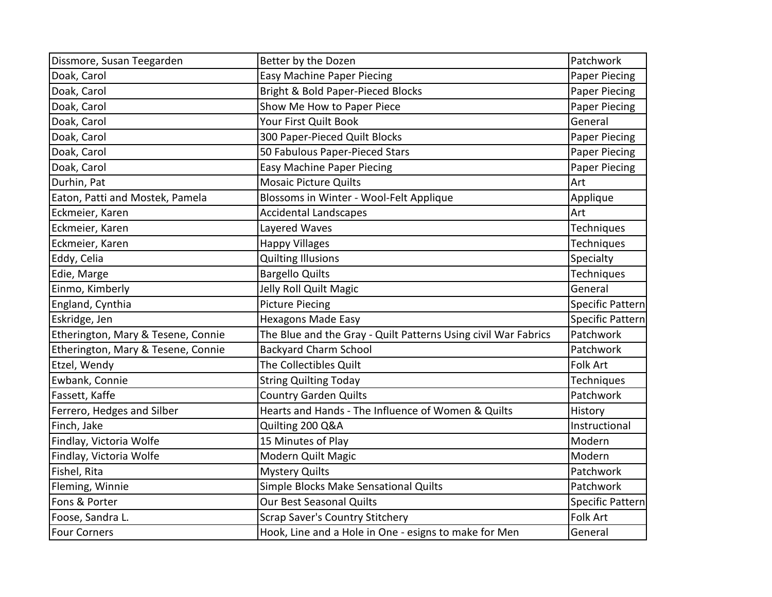| Dissmore, Susan Teegarden          | Better by the Dozen                                            | Patchwork               |
|------------------------------------|----------------------------------------------------------------|-------------------------|
| Doak, Carol                        | <b>Easy Machine Paper Piecing</b>                              | <b>Paper Piecing</b>    |
| Doak, Carol                        | Bright & Bold Paper-Pieced Blocks                              | <b>Paper Piecing</b>    |
| Doak, Carol                        | Show Me How to Paper Piece                                     | Paper Piecing           |
| Doak, Carol                        | Your First Quilt Book                                          | General                 |
| Doak, Carol                        | 300 Paper-Pieced Quilt Blocks                                  | Paper Piecing           |
| Doak, Carol                        | 50 Fabulous Paper-Pieced Stars                                 | Paper Piecing           |
| Doak, Carol                        | <b>Easy Machine Paper Piecing</b>                              | Paper Piecing           |
| Durhin, Pat                        | <b>Mosaic Picture Quilts</b>                                   | Art                     |
| Eaton, Patti and Mostek, Pamela    | Blossoms in Winter - Wool-Felt Applique                        | Applique                |
| Eckmeier, Karen                    | <b>Accidental Landscapes</b>                                   | Art                     |
| Eckmeier, Karen                    | Layered Waves                                                  | Techniques              |
| Eckmeier, Karen                    | <b>Happy Villages</b>                                          | Techniques              |
| Eddy, Celia                        | <b>Quilting Illusions</b>                                      | Specialty               |
| Edie, Marge                        | <b>Bargello Quilts</b>                                         | Techniques              |
| Einmo, Kimberly                    | Jelly Roll Quilt Magic                                         | General                 |
| England, Cynthia                   | <b>Picture Piecing</b>                                         | <b>Specific Pattern</b> |
| Eskridge, Jen                      | <b>Hexagons Made Easy</b>                                      | Specific Pattern        |
| Etherington, Mary & Tesene, Connie | The Blue and the Gray - Quilt Patterns Using civil War Fabrics | Patchwork               |
| Etherington, Mary & Tesene, Connie | <b>Backyard Charm School</b>                                   | Patchwork               |
| Etzel, Wendy                       | The Collectibles Quilt                                         | <b>Folk Art</b>         |
| Ewbank, Connie                     | <b>String Quilting Today</b>                                   | Techniques              |
| Fassett, Kaffe                     | <b>Country Garden Quilts</b>                                   | Patchwork               |
| Ferrero, Hedges and Silber         | Hearts and Hands - The Influence of Women & Quilts             | History                 |
| Finch, Jake                        | Quilting 200 Q&A                                               | Instructional           |
| Findlay, Victoria Wolfe            | 15 Minutes of Play                                             | Modern                  |
| Findlay, Victoria Wolfe            | Modern Quilt Magic                                             | Modern                  |
| Fishel, Rita                       | <b>Mystery Quilts</b>                                          | Patchwork               |
| Fleming, Winnie                    | Simple Blocks Make Sensational Quilts                          | Patchwork               |
| Fons & Porter                      | Our Best Seasonal Quilts                                       | <b>Specific Pattern</b> |
| Foose, Sandra L.                   | Scrap Saver's Country Stitchery                                | <b>Folk Art</b>         |
| <b>Four Corners</b>                | Hook, Line and a Hole in One - esigns to make for Men          | General                 |
|                                    |                                                                |                         |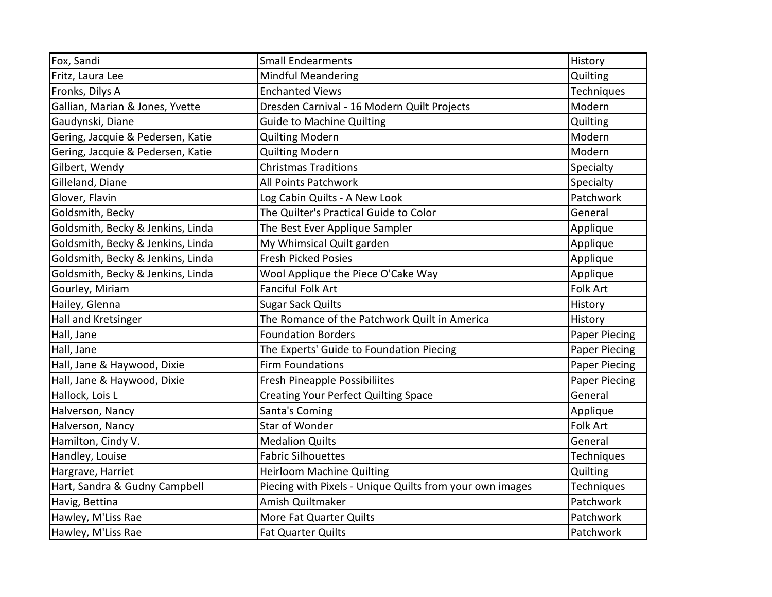| Fox, Sandi                        | <b>Small Endearments</b>                                 | History              |
|-----------------------------------|----------------------------------------------------------|----------------------|
| Fritz, Laura Lee                  | <b>Mindful Meandering</b>                                | Quilting             |
| Fronks, Dilys A                   | <b>Enchanted Views</b>                                   | Techniques           |
| Gallian, Marian & Jones, Yvette   | Dresden Carnival - 16 Modern Quilt Projects              | Modern               |
| Gaudynski, Diane                  | <b>Guide to Machine Quilting</b>                         | Quilting             |
| Gering, Jacquie & Pedersen, Katie | <b>Quilting Modern</b>                                   | Modern               |
| Gering, Jacquie & Pedersen, Katie | <b>Quilting Modern</b>                                   | Modern               |
| Gilbert, Wendy                    | <b>Christmas Traditions</b>                              | Specialty            |
| Gilleland, Diane                  | All Points Patchwork                                     | Specialty            |
| Glover, Flavin                    | Log Cabin Quilts - A New Look                            | Patchwork            |
| Goldsmith, Becky                  | The Quilter's Practical Guide to Color                   | General              |
| Goldsmith, Becky & Jenkins, Linda | The Best Ever Applique Sampler                           | Applique             |
| Goldsmith, Becky & Jenkins, Linda | My Whimsical Quilt garden                                | Applique             |
| Goldsmith, Becky & Jenkins, Linda | <b>Fresh Picked Posies</b>                               | Applique             |
| Goldsmith, Becky & Jenkins, Linda | Wool Applique the Piece O'Cake Way                       | Applique             |
| Gourley, Miriam                   | <b>Fanciful Folk Art</b>                                 | Folk Art             |
| Hailey, Glenna                    | <b>Sugar Sack Quilts</b>                                 | History              |
| Hall and Kretsinger               | The Romance of the Patchwork Quilt in America            | History              |
| Hall, Jane                        | <b>Foundation Borders</b>                                | <b>Paper Piecing</b> |
| Hall, Jane                        | The Experts' Guide to Foundation Piecing                 | <b>Paper Piecing</b> |
| Hall, Jane & Haywood, Dixie       | <b>Firm Foundations</b>                                  | <b>Paper Piecing</b> |
| Hall, Jane & Haywood, Dixie       | <b>Fresh Pineapple Possibiliites</b>                     | <b>Paper Piecing</b> |
| Hallock, Lois L                   | <b>Creating Your Perfect Quilting Space</b>              | General              |
| Halverson, Nancy                  | Santa's Coming                                           | Applique             |
| Halverson, Nancy                  | <b>Star of Wonder</b>                                    | Folk Art             |
| Hamilton, Cindy V.                | <b>Medalion Quilts</b>                                   | General              |
| Handley, Louise                   | <b>Fabric Silhouettes</b>                                | Techniques           |
| Hargrave, Harriet                 | <b>Heirloom Machine Quilting</b>                         | Quilting             |
| Hart, Sandra & Gudny Campbell     | Piecing with Pixels - Unique Quilts from your own images | Techniques           |
| Havig, Bettina                    | Amish Quiltmaker                                         | Patchwork            |
| Hawley, M'Liss Rae                | More Fat Quarter Quilts                                  | Patchwork            |
| Hawley, M'Liss Rae                | <b>Fat Quarter Quilts</b>                                | Patchwork            |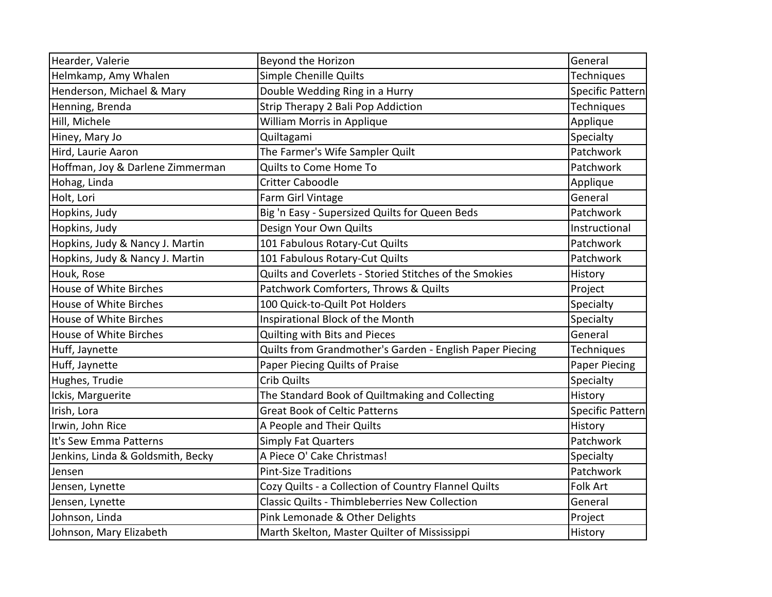| Hearder, Valerie                  | Beyond the Horizon                                       | General              |
|-----------------------------------|----------------------------------------------------------|----------------------|
| Helmkamp, Amy Whalen              | Simple Chenille Quilts                                   | Techniques           |
| Henderson, Michael & Mary         | Double Wedding Ring in a Hurry                           | Specific Pattern     |
| Henning, Brenda                   | Strip Therapy 2 Bali Pop Addiction                       | Techniques           |
| Hill, Michele                     | William Morris in Applique                               | Applique             |
| Hiney, Mary Jo                    | Quiltagami                                               | Specialty            |
| Hird, Laurie Aaron                | The Farmer's Wife Sampler Quilt                          | Patchwork            |
| Hoffman, Joy & Darlene Zimmerman  | Quilts to Come Home To                                   | Patchwork            |
| Hohag, Linda                      | <b>Critter Caboodle</b>                                  | Applique             |
| Holt, Lori                        | Farm Girl Vintage                                        | General              |
| Hopkins, Judy                     | Big 'n Easy - Supersized Quilts for Queen Beds           | Patchwork            |
| Hopkins, Judy                     | Design Your Own Quilts                                   | Instructional        |
| Hopkins, Judy & Nancy J. Martin   | 101 Fabulous Rotary-Cut Quilts                           | Patchwork            |
| Hopkins, Judy & Nancy J. Martin   | 101 Fabulous Rotary-Cut Quilts                           | Patchwork            |
| Houk, Rose                        | Quilts and Coverlets - Storied Stitches of the Smokies   | History              |
| <b>House of White Birches</b>     | Patchwork Comforters, Throws & Quilts                    | Project              |
| <b>House of White Birches</b>     | 100 Quick-to-Quilt Pot Holders                           | Specialty            |
| <b>House of White Birches</b>     | Inspirational Block of the Month                         | Specialty            |
| <b>House of White Birches</b>     | Quilting with Bits and Pieces                            | General              |
| Huff, Jaynette                    | Quilts from Grandmother's Garden - English Paper Piecing | Techniques           |
| Huff, Jaynette                    | Paper Piecing Quilts of Praise                           | <b>Paper Piecing</b> |
| Hughes, Trudie                    | <b>Crib Quilts</b>                                       | Specialty            |
| Ickis, Marguerite                 | The Standard Book of Quiltmaking and Collecting          | History              |
| Irish, Lora                       | <b>Great Book of Celtic Patterns</b>                     | Specific Pattern     |
| Irwin, John Rice                  | A People and Their Quilts                                | History              |
| It's Sew Emma Patterns            | <b>Simply Fat Quarters</b>                               | Patchwork            |
| Jenkins, Linda & Goldsmith, Becky | A Piece O' Cake Christmas!                               | Specialty            |
| Jensen                            | <b>Pint-Size Traditions</b>                              | Patchwork            |
| Jensen, Lynette                   | Cozy Quilts - a Collection of Country Flannel Quilts     | Folk Art             |
| Jensen, Lynette                   | <b>Classic Quilts - Thimbleberries New Collection</b>    | General              |
| Johnson, Linda                    | Pink Lemonade & Other Delights                           | Project              |
| Johnson, Mary Elizabeth           | Marth Skelton, Master Quilter of Mississippi             | History              |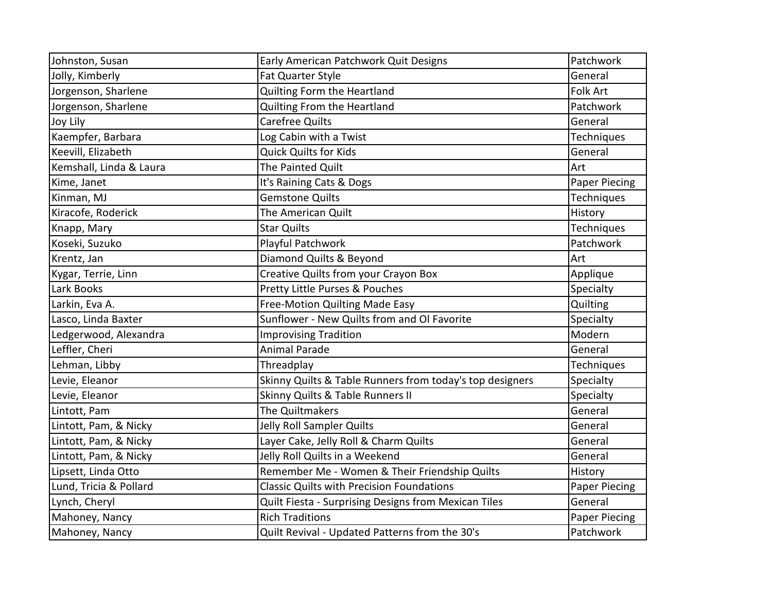| Johnston, Susan         | Early American Patchwork Quit Designs                    | Patchwork            |
|-------------------------|----------------------------------------------------------|----------------------|
| Jolly, Kimberly         | Fat Quarter Style                                        | General              |
| Jorgenson, Sharlene     | Quilting Form the Heartland                              | <b>Folk Art</b>      |
| Jorgenson, Sharlene     | Quilting From the Heartland                              | Patchwork            |
| Joy Lily                | <b>Carefree Quilts</b>                                   | General              |
| Kaempfer, Barbara       | Log Cabin with a Twist                                   | Techniques           |
| Keevill, Elizabeth      | <b>Quick Quilts for Kids</b>                             | General              |
| Kemshall, Linda & Laura | The Painted Quilt                                        | Art                  |
| Kime, Janet             | It's Raining Cats & Dogs                                 | <b>Paper Piecing</b> |
| Kinman, MJ              | <b>Gemstone Quilts</b>                                   | Techniques           |
| Kiracofe, Roderick      | The American Quilt                                       | History              |
| Knapp, Mary             | <b>Star Quilts</b>                                       | Techniques           |
| Koseki, Suzuko          | Playful Patchwork                                        | Patchwork            |
| Krentz, Jan             | Diamond Quilts & Beyond                                  | Art                  |
| Kygar, Terrie, Linn     | Creative Quilts from your Crayon Box                     | Applique             |
| Lark Books              | Pretty Little Purses & Pouches                           | Specialty            |
| Larkin, Eva A.          | Free-Motion Quilting Made Easy                           | Quilting             |
| Lasco, Linda Baxter     | Sunflower - New Quilts from and Ol Favorite              | Specialty            |
| Ledgerwood, Alexandra   | <b>Improvising Tradition</b>                             | Modern               |
| Leffler, Cheri          | <b>Animal Parade</b>                                     | General              |
| Lehman, Libby           | Threadplay                                               | Techniques           |
| Levie, Eleanor          | Skinny Quilts & Table Runners from today's top designers | Specialty            |
| Levie, Eleanor          | Skinny Quilts & Table Runners II                         | Specialty            |
| Lintott, Pam            | The Quiltmakers                                          | General              |
| Lintott, Pam, & Nicky   | Jelly Roll Sampler Quilts                                | General              |
| Lintott, Pam, & Nicky   | Layer Cake, Jelly Roll & Charm Quilts                    | General              |
| Lintott, Pam, & Nicky   | Jelly Roll Quilts in a Weekend                           | General              |
| Lipsett, Linda Otto     | Remember Me - Women & Their Friendship Quilts            | History              |
| Lund, Tricia & Pollard  | <b>Classic Quilts with Precision Foundations</b>         | <b>Paper Piecing</b> |
| Lynch, Cheryl           | Quilt Fiesta - Surprising Designs from Mexican Tiles     | General              |
| Mahoney, Nancy          | <b>Rich Traditions</b>                                   | Paper Piecing        |
| Mahoney, Nancy          | Quilt Revival - Updated Patterns from the 30's           | Patchwork            |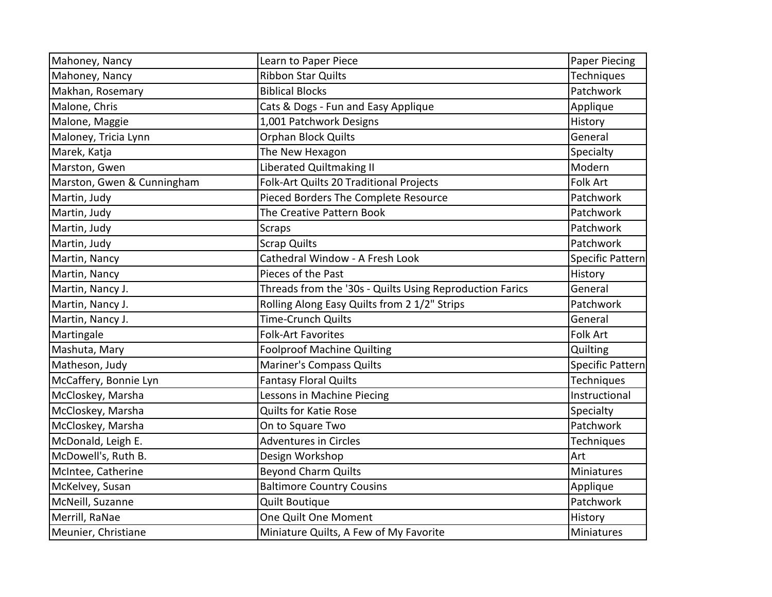| Mahoney, Nancy             | Learn to Paper Piece                                     | <b>Paper Piecing</b>    |
|----------------------------|----------------------------------------------------------|-------------------------|
| Mahoney, Nancy             | <b>Ribbon Star Quilts</b>                                | Techniques              |
| Makhan, Rosemary           | <b>Biblical Blocks</b>                                   | Patchwork               |
| Malone, Chris              | Cats & Dogs - Fun and Easy Applique                      | Applique                |
| Malone, Maggie             | 1,001 Patchwork Designs                                  | History                 |
| Maloney, Tricia Lynn       | <b>Orphan Block Quilts</b>                               | General                 |
| Marek, Katja               | The New Hexagon                                          | Specialty               |
| Marston, Gwen              | Liberated Quiltmaking II                                 | Modern                  |
| Marston, Gwen & Cunningham | Folk-Art Quilts 20 Traditional Projects                  | <b>Folk Art</b>         |
| Martin, Judy               | Pieced Borders The Complete Resource                     | Patchwork               |
| Martin, Judy               | The Creative Pattern Book                                | Patchwork               |
| Martin, Judy               | <b>Scraps</b>                                            | Patchwork               |
| Martin, Judy               | <b>Scrap Quilts</b>                                      | Patchwork               |
| Martin, Nancy              | Cathedral Window - A Fresh Look                          | <b>Specific Pattern</b> |
| Martin, Nancy              | Pieces of the Past                                       | History                 |
| Martin, Nancy J.           | Threads from the '30s - Quilts Using Reproduction Farics | General                 |
| Martin, Nancy J.           | Rolling Along Easy Quilts from 2 1/2" Strips             | Patchwork               |
| Martin, Nancy J.           | <b>Time-Crunch Quilts</b>                                | General                 |
| Martingale                 | <b>Folk-Art Favorites</b>                                | Folk Art                |
| Mashuta, Mary              | <b>Foolproof Machine Quilting</b>                        | Quilting                |
| Matheson, Judy             | <b>Mariner's Compass Quilts</b>                          | Specific Pattern        |
| McCaffery, Bonnie Lyn      | <b>Fantasy Floral Quilts</b>                             | Techniques              |
| McCloskey, Marsha          | Lessons in Machine Piecing                               | Instructional           |
| McCloskey, Marsha          | <b>Quilts for Katie Rose</b>                             | Specialty               |
| McCloskey, Marsha          | On to Square Two                                         | Patchwork               |
| McDonald, Leigh E.         | <b>Adventures in Circles</b>                             | Techniques              |
| McDowell's, Ruth B.        | Design Workshop                                          | Art                     |
| McIntee, Catherine         | <b>Beyond Charm Quilts</b>                               | <b>Miniatures</b>       |
| McKelvey, Susan            | <b>Baltimore Country Cousins</b>                         | Applique                |
| McNeill, Suzanne           | <b>Quilt Boutique</b>                                    | Patchwork               |
| Merrill, RaNae             | One Quilt One Moment                                     | History                 |
| Meunier, Christiane        | Miniature Quilts, A Few of My Favorite                   | Miniatures              |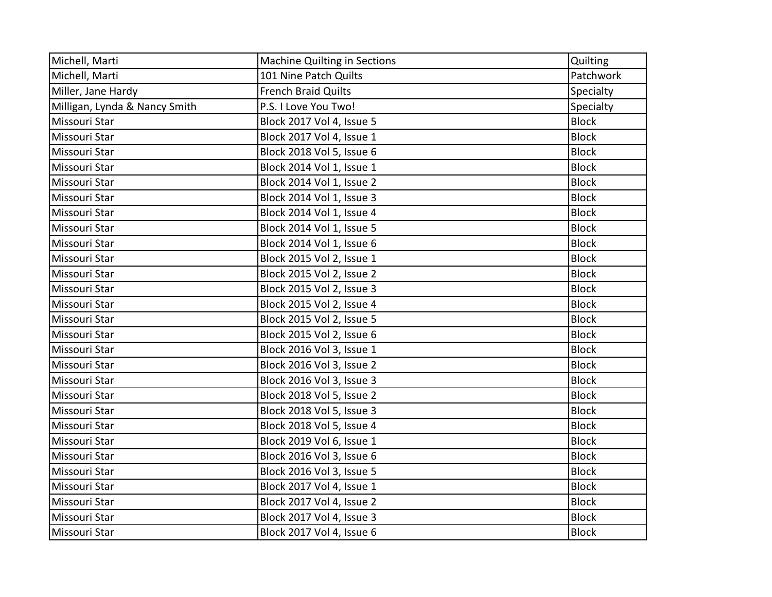| Michell, Marti                | <b>Machine Quilting in Sections</b> | Quilting     |
|-------------------------------|-------------------------------------|--------------|
| Michell, Marti                | 101 Nine Patch Quilts               | Patchwork    |
| Miller, Jane Hardy            | <b>French Braid Quilts</b>          | Specialty    |
| Milligan, Lynda & Nancy Smith | P.S. I Love You Two!                | Specialty    |
| Missouri Star                 | Block 2017 Vol 4, Issue 5           | <b>Block</b> |
| Missouri Star                 | Block 2017 Vol 4, Issue 1           | <b>Block</b> |
| Missouri Star                 | Block 2018 Vol 5, Issue 6           | <b>Block</b> |
| Missouri Star                 | Block 2014 Vol 1, Issue 1           | <b>Block</b> |
| Missouri Star                 | Block 2014 Vol 1, Issue 2           | <b>Block</b> |
| Missouri Star                 | Block 2014 Vol 1, Issue 3           | <b>Block</b> |
| Missouri Star                 | Block 2014 Vol 1, Issue 4           | <b>Block</b> |
| Missouri Star                 | Block 2014 Vol 1, Issue 5           | <b>Block</b> |
| Missouri Star                 | Block 2014 Vol 1, Issue 6           | <b>Block</b> |
| Missouri Star                 | Block 2015 Vol 2, Issue 1           | <b>Block</b> |
| Missouri Star                 | Block 2015 Vol 2, Issue 2           | <b>Block</b> |
| Missouri Star                 | Block 2015 Vol 2, Issue 3           | <b>Block</b> |
| Missouri Star                 | Block 2015 Vol 2, Issue 4           | <b>Block</b> |
| Missouri Star                 | Block 2015 Vol 2, Issue 5           | <b>Block</b> |
| Missouri Star                 | Block 2015 Vol 2, Issue 6           | <b>Block</b> |
| Missouri Star                 | Block 2016 Vol 3, Issue 1           | <b>Block</b> |
| Missouri Star                 | Block 2016 Vol 3, Issue 2           | <b>Block</b> |
| Missouri Star                 | Block 2016 Vol 3, Issue 3           | <b>Block</b> |
| Missouri Star                 | Block 2018 Vol 5, Issue 2           | <b>Block</b> |
| Missouri Star                 | Block 2018 Vol 5, Issue 3           | <b>Block</b> |
| Missouri Star                 | Block 2018 Vol 5, Issue 4           | <b>Block</b> |
| Missouri Star                 | Block 2019 Vol 6, Issue 1           | <b>Block</b> |
| Missouri Star                 | Block 2016 Vol 3, Issue 6           | <b>Block</b> |
| Missouri Star                 | Block 2016 Vol 3, Issue 5           | <b>Block</b> |
| Missouri Star                 | Block 2017 Vol 4, Issue 1           | <b>Block</b> |
| Missouri Star                 | Block 2017 Vol 4, Issue 2           | <b>Block</b> |
| Missouri Star                 | Block 2017 Vol 4, Issue 3           | <b>Block</b> |
| Missouri Star                 | Block 2017 Vol 4, Issue 6           | <b>Block</b> |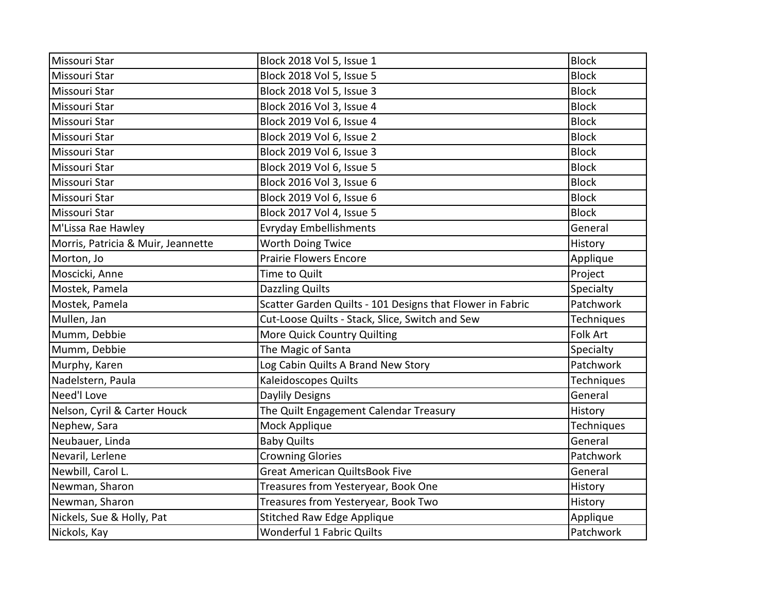| Missouri Star                      | Block 2018 Vol 5, Issue 1                                 | <b>Block</b>      |
|------------------------------------|-----------------------------------------------------------|-------------------|
| Missouri Star                      | Block 2018 Vol 5, Issue 5                                 | <b>Block</b>      |
| Missouri Star                      | Block 2018 Vol 5, Issue 3                                 | <b>Block</b>      |
| Missouri Star                      | Block 2016 Vol 3, Issue 4                                 | <b>Block</b>      |
| Missouri Star                      | Block 2019 Vol 6, Issue 4                                 | <b>Block</b>      |
| Missouri Star                      | Block 2019 Vol 6, Issue 2                                 | <b>Block</b>      |
| Missouri Star                      | Block 2019 Vol 6, Issue 3                                 | <b>Block</b>      |
| Missouri Star                      | Block 2019 Vol 6, Issue 5                                 | <b>Block</b>      |
| Missouri Star                      | Block 2016 Vol 3, Issue 6                                 | <b>Block</b>      |
| Missouri Star                      | Block 2019 Vol 6, Issue 6                                 | <b>Block</b>      |
| Missouri Star                      | Block 2017 Vol 4, Issue 5                                 | <b>Block</b>      |
| M'Lissa Rae Hawley                 | <b>Evryday Embellishments</b>                             | General           |
| Morris, Patricia & Muir, Jeannette | Worth Doing Twice                                         | History           |
| Morton, Jo                         | <b>Prairie Flowers Encore</b>                             | Applique          |
| Moscicki, Anne                     | Time to Quilt                                             | Project           |
| Mostek, Pamela                     | <b>Dazzling Quilts</b>                                    | Specialty         |
| Mostek, Pamela                     | Scatter Garden Quilts - 101 Designs that Flower in Fabric | Patchwork         |
| Mullen, Jan                        | Cut-Loose Quilts - Stack, Slice, Switch and Sew           | Techniques        |
| Mumm, Debbie                       | More Quick Country Quilting                               | Folk Art          |
| Mumm, Debbie                       | The Magic of Santa                                        | Specialty         |
| Murphy, Karen                      | Log Cabin Quilts A Brand New Story                        | Patchwork         |
| Nadelstern, Paula                  | <b>Kaleidoscopes Quilts</b>                               | Techniques        |
| Need'l Love                        | <b>Daylily Designs</b>                                    | General           |
| Nelson, Cyril & Carter Houck       | The Quilt Engagement Calendar Treasury                    | History           |
| Nephew, Sara                       | Mock Applique                                             | <b>Techniques</b> |
| Neubauer, Linda                    | <b>Baby Quilts</b>                                        | General           |
| Nevaril, Lerlene                   | <b>Crowning Glories</b>                                   | Patchwork         |
| Newbill, Carol L.                  | <b>Great American QuiltsBook Five</b>                     | General           |
| Newman, Sharon                     | Treasures from Yesteryear, Book One                       | History           |
| Newman, Sharon                     | Treasures from Yesteryear, Book Two                       | History           |
| Nickels, Sue & Holly, Pat          | <b>Stitched Raw Edge Applique</b>                         | Applique          |
| Nickols, Kay                       | Wonderful 1 Fabric Quilts                                 | Patchwork         |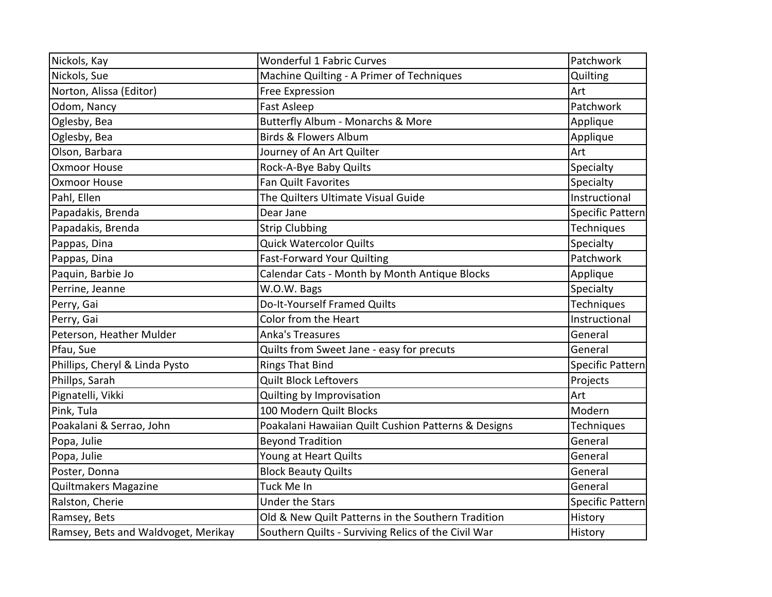| Nickols, Kay                        | <b>Wonderful 1 Fabric Curves</b>                    | Patchwork               |
|-------------------------------------|-----------------------------------------------------|-------------------------|
| Nickols, Sue                        | Machine Quilting - A Primer of Techniques           | Quilting                |
| Norton, Alissa (Editor)             | <b>Free Expression</b>                              | Art                     |
| Odom, Nancy                         | <b>Fast Asleep</b>                                  | Patchwork               |
| Oglesby, Bea                        | Butterfly Album - Monarchs & More                   | Applique                |
| Oglesby, Bea                        | <b>Birds &amp; Flowers Album</b>                    | Applique                |
| Olson, Barbara                      | Journey of An Art Quilter                           | Art                     |
| <b>Oxmoor House</b>                 | Rock-A-Bye Baby Quilts                              | Specialty               |
| <b>Oxmoor House</b>                 | <b>Fan Quilt Favorites</b>                          | Specialty               |
| Pahl, Ellen                         | The Quilters Ultimate Visual Guide                  | Instructional           |
| Papadakis, Brenda                   | Dear Jane                                           | Specific Pattern        |
| Papadakis, Brenda                   | <b>Strip Clubbing</b>                               | Techniques              |
| Pappas, Dina                        | <b>Quick Watercolor Quilts</b>                      | Specialty               |
| Pappas, Dina                        | <b>Fast-Forward Your Quilting</b>                   | Patchwork               |
| Paquin, Barbie Jo                   | Calendar Cats - Month by Month Antique Blocks       | Applique                |
| Perrine, Jeanne                     | W.O.W. Bags                                         | Specialty               |
| Perry, Gai                          | Do-It-Yourself Framed Quilts                        | Techniques              |
| Perry, Gai                          | Color from the Heart                                | Instructional           |
| Peterson, Heather Mulder            | <b>Anka's Treasures</b>                             | General                 |
| Pfau, Sue                           | Quilts from Sweet Jane - easy for precuts           | General                 |
| Phillips, Cheryl & Linda Pysto      | <b>Rings That Bind</b>                              | Specific Pattern        |
| Phillps, Sarah                      | <b>Quilt Block Leftovers</b>                        | Projects                |
| Pignatelli, Vikki                   | Quilting by Improvisation                           | Art                     |
| Pink, Tula                          | 100 Modern Quilt Blocks                             | Modern                  |
| Poakalani & Serrao, John            | Poakalani Hawaiian Quilt Cushion Patterns & Designs | Techniques              |
| Popa, Julie                         | <b>Beyond Tradition</b>                             | General                 |
| Popa, Julie                         | Young at Heart Quilts                               | General                 |
| Poster, Donna                       | <b>Block Beauty Quilts</b>                          | General                 |
| Quiltmakers Magazine                | Tuck Me In                                          | General                 |
| Ralston, Cherie                     | <b>Under the Stars</b>                              | <b>Specific Pattern</b> |
| Ramsey, Bets                        | Old & New Quilt Patterns in the Southern Tradition  | History                 |
| Ramsey, Bets and Waldvoget, Merikay | Southern Quilts - Surviving Relics of the Civil War | History                 |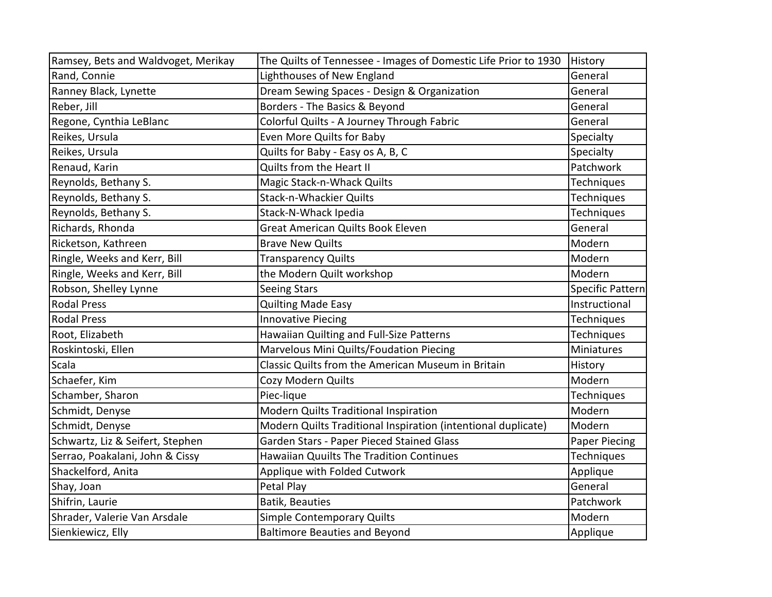| Ramsey, Bets and Waldvoget, Merikay | The Quilts of Tennessee - Images of Domestic Life Prior to 1930 | History           |
|-------------------------------------|-----------------------------------------------------------------|-------------------|
| Rand, Connie                        | Lighthouses of New England                                      | General           |
| Ranney Black, Lynette               | Dream Sewing Spaces - Design & Organization                     | General           |
| Reber, Jill                         | Borders - The Basics & Beyond                                   | General           |
| Regone, Cynthia LeBlanc             | Colorful Quilts - A Journey Through Fabric                      | General           |
| Reikes, Ursula                      | Even More Quilts for Baby                                       | Specialty         |
| Reikes, Ursula                      | Quilts for Baby - Easy os A, B, C                               | Specialty         |
| Renaud, Karin                       | Quilts from the Heart II                                        | Patchwork         |
| Reynolds, Bethany S.                | Magic Stack-n-Whack Quilts                                      | Techniques        |
| Reynolds, Bethany S.                | <b>Stack-n-Whackier Quilts</b>                                  | Techniques        |
| Reynolds, Bethany S.                | Stack-N-Whack Ipedia                                            | <b>Techniques</b> |
| Richards, Rhonda                    | <b>Great American Quilts Book Eleven</b>                        | General           |
| Ricketson, Kathreen                 | <b>Brave New Quilts</b>                                         | Modern            |
| Ringle, Weeks and Kerr, Bill        | <b>Transparency Quilts</b>                                      | Modern            |
| Ringle, Weeks and Kerr, Bill        | the Modern Quilt workshop                                       | Modern            |
| Robson, Shelley Lynne               | <b>Seeing Stars</b>                                             | Specific Pattern  |
| <b>Rodal Press</b>                  | <b>Quilting Made Easy</b>                                       | Instructional     |
| <b>Rodal Press</b>                  | <b>Innovative Piecing</b>                                       | Techniques        |
| Root, Elizabeth                     | Hawaiian Quilting and Full-Size Patterns                        | Techniques        |
| Roskintoski, Ellen                  | Marvelous Mini Quilts/Foudation Piecing                         | <b>Miniatures</b> |
| Scala                               | Classic Quilts from the American Museum in Britain              | History           |
| Schaefer, Kim                       | Cozy Modern Quilts                                              | Modern            |
| Schamber, Sharon                    | Piec-lique                                                      | Techniques        |
| Schmidt, Denyse                     | Modern Quilts Traditional Inspiration                           | Modern            |
| Schmidt, Denyse                     | Modern Quilts Traditional Inspiration (intentional duplicate)   | Modern            |
| Schwartz, Liz & Seifert, Stephen    | Garden Stars - Paper Pieced Stained Glass                       | Paper Piecing     |
| Serrao, Poakalani, John & Cissy     | <b>Hawaiian Quuilts The Tradition Continues</b>                 | <b>Techniques</b> |
| Shackelford, Anita                  | Applique with Folded Cutwork                                    | Applique          |
| Shay, Joan                          | Petal Play                                                      | General           |
| Shifrin, Laurie                     | <b>Batik, Beauties</b>                                          | Patchwork         |
| Shrader, Valerie Van Arsdale        | <b>Simple Contemporary Quilts</b>                               | Modern            |
| Sienkiewicz, Elly                   | <b>Baltimore Beauties and Beyond</b>                            | Applique          |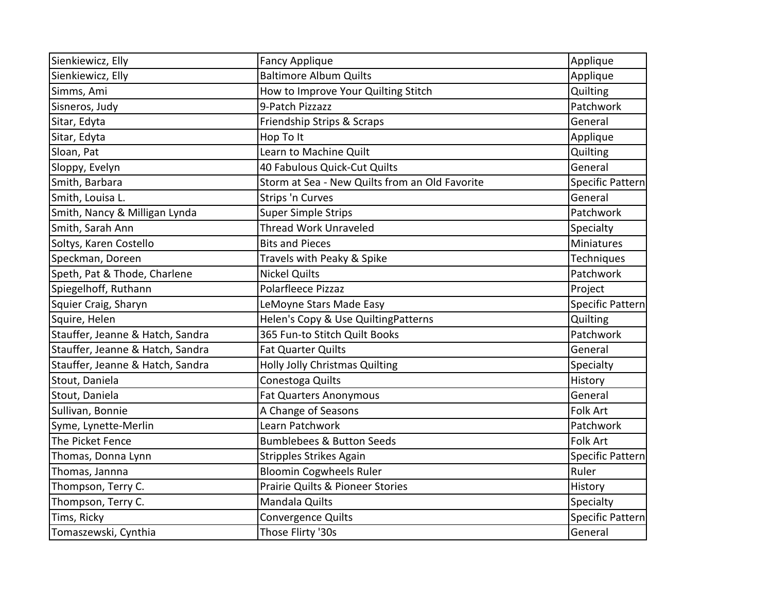| Sienkiewicz, Elly                | <b>Fancy Applique</b>                          | Applique                |
|----------------------------------|------------------------------------------------|-------------------------|
| Sienkiewicz, Elly                | <b>Baltimore Album Quilts</b>                  | Applique                |
| Simms, Ami                       | How to Improve Your Quilting Stitch            | Quilting                |
| Sisneros, Judy                   | 9-Patch Pizzazz                                | Patchwork               |
| Sitar, Edyta                     | Friendship Strips & Scraps                     | General                 |
| Sitar, Edyta                     | Hop To It                                      | Applique                |
| Sloan, Pat                       | Learn to Machine Quilt                         | Quilting                |
| Sloppy, Evelyn                   | 40 Fabulous Quick-Cut Quilts                   | General                 |
| Smith, Barbara                   | Storm at Sea - New Quilts from an Old Favorite | Specific Pattern        |
| Smith, Louisa L.                 | Strips 'n Curves                               | General                 |
| Smith, Nancy & Milligan Lynda    | <b>Super Simple Strips</b>                     | Patchwork               |
| Smith, Sarah Ann                 | <b>Thread Work Unraveled</b>                   | Specialty               |
| Soltys, Karen Costello           | <b>Bits and Pieces</b>                         | Miniatures              |
| Speckman, Doreen                 | Travels with Peaky & Spike                     | Techniques              |
| Speth, Pat & Thode, Charlene     | <b>Nickel Quilts</b>                           | Patchwork               |
| Spiegelhoff, Ruthann             | Polarfleece Pizzaz                             | Project                 |
| Squier Craig, Sharyn             | LeMoyne Stars Made Easy                        | <b>Specific Pattern</b> |
| Squire, Helen                    | Helen's Copy & Use QuiltingPatterns            | Quilting                |
| Stauffer, Jeanne & Hatch, Sandra | 365 Fun-to Stitch Quilt Books                  | Patchwork               |
| Stauffer, Jeanne & Hatch, Sandra | <b>Fat Quarter Quilts</b>                      | General                 |
| Stauffer, Jeanne & Hatch, Sandra | <b>Holly Jolly Christmas Quilting</b>          | Specialty               |
| Stout, Daniela                   | Conestoga Quilts                               | History                 |
| Stout, Daniela                   | <b>Fat Quarters Anonymous</b>                  | General                 |
| Sullivan, Bonnie                 | A Change of Seasons                            | Folk Art                |
| Syme, Lynette-Merlin             | Learn Patchwork                                | Patchwork               |
| The Picket Fence                 | <b>Bumblebees &amp; Button Seeds</b>           | <b>Folk Art</b>         |
| Thomas, Donna Lynn               | <b>Stripples Strikes Again</b>                 | Specific Pattern        |
| Thomas, Jannna                   | <b>Bloomin Cogwheels Ruler</b>                 | Ruler                   |
| Thompson, Terry C.               | <b>Prairie Quilts &amp; Pioneer Stories</b>    | History                 |
| Thompson, Terry C.               | Mandala Quilts                                 | Specialty               |
| Tims, Ricky                      | Convergence Quilts                             | Specific Pattern        |
| Tomaszewski, Cynthia             | Those Flirty '30s                              | General                 |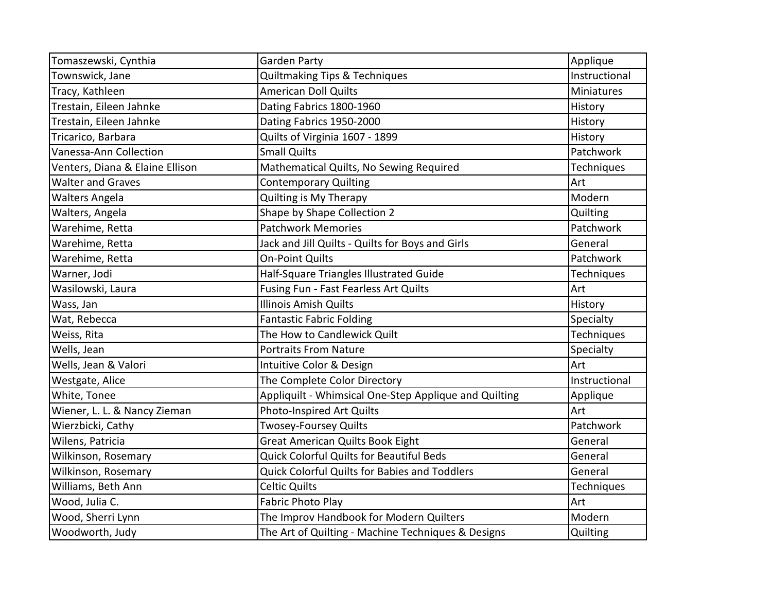| Tomaszewski, Cynthia            | <b>Garden Party</b>                                   | Applique          |
|---------------------------------|-------------------------------------------------------|-------------------|
| Townswick, Jane                 | <b>Quiltmaking Tips &amp; Techniques</b>              | Instructional     |
| Tracy, Kathleen                 | <b>American Doll Quilts</b>                           | <b>Miniatures</b> |
| Trestain, Eileen Jahnke         | Dating Fabrics 1800-1960                              | History           |
| Trestain, Eileen Jahnke         | Dating Fabrics 1950-2000                              | History           |
| Tricarico, Barbara              | Quilts of Virginia 1607 - 1899                        | History           |
| Vanessa-Ann Collection          | Small Quilts                                          | Patchwork         |
| Venters, Diana & Elaine Ellison | Mathematical Quilts, No Sewing Required               | Techniques        |
| <b>Walter and Graves</b>        | <b>Contemporary Quilting</b>                          | Art               |
| <b>Walters Angela</b>           | Quilting is My Therapy                                | Modern            |
| Walters, Angela                 | Shape by Shape Collection 2                           | Quilting          |
| Warehime, Retta                 | <b>Patchwork Memories</b>                             | Patchwork         |
| Warehime, Retta                 | Jack and Jill Quilts - Quilts for Boys and Girls      | General           |
| Warehime, Retta                 | <b>On-Point Quilts</b>                                | Patchwork         |
| Warner, Jodi                    | Half-Square Triangles Illustrated Guide               | Techniques        |
| Wasilowski, Laura               | Fusing Fun - Fast Fearless Art Quilts                 | Art               |
| Wass, Jan                       | <b>Illinois Amish Quilts</b>                          | History           |
| Wat, Rebecca                    | <b>Fantastic Fabric Folding</b>                       | Specialty         |
| Weiss, Rita                     | The How to Candlewick Quilt                           | Techniques        |
| Wells, Jean                     | <b>Portraits From Nature</b>                          | Specialty         |
| Wells, Jean & Valori            | Intuitive Color & Design                              | Art               |
| Westgate, Alice                 | The Complete Color Directory                          | Instructional     |
| White, Tonee                    | Appliquilt - Whimsical One-Step Applique and Quilting | Applique          |
| Wiener, L. L. & Nancy Zieman    | Photo-Inspired Art Quilts                             | Art               |
| Wierzbicki, Cathy               | <b>Twosey-Foursey Quilts</b>                          | Patchwork         |
| Wilens, Patricia                | <b>Great American Quilts Book Eight</b>               | General           |
| Wilkinson, Rosemary             | <b>Quick Colorful Quilts for Beautiful Beds</b>       | General           |
| Wilkinson, Rosemary             | <b>Quick Colorful Quilts for Babies and Toddlers</b>  | General           |
| Williams, Beth Ann              | <b>Celtic Quilts</b>                                  | Techniques        |
| Wood, Julia C.                  | <b>Fabric Photo Play</b>                              | Art               |
| Wood, Sherri Lynn               | The Improv Handbook for Modern Quilters               | Modern            |
| Woodworth, Judy                 | The Art of Quilting - Machine Techniques & Designs    | Quilting          |